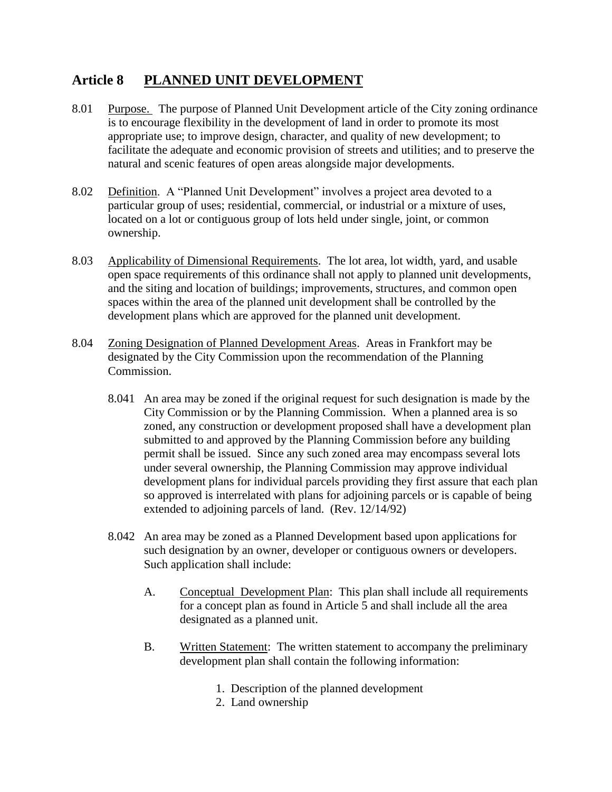# **Article 8 PLANNED UNIT DEVELOPMENT**

- 8.01 Purpose. The purpose of Planned Unit Development article of the City zoning ordinance is to encourage flexibility in the development of land in order to promote its most appropriate use; to improve design, character, and quality of new development; to facilitate the adequate and economic provision of streets and utilities; and to preserve the natural and scenic features of open areas alongside major developments.
- 8.02 Definition. A "Planned Unit Development" involves a project area devoted to a particular group of uses; residential, commercial, or industrial or a mixture of uses, located on a lot or contiguous group of lots held under single, joint, or common ownership.
- 8.03 Applicability of Dimensional Requirements. The lot area, lot width, yard, and usable open space requirements of this ordinance shall not apply to planned unit developments, and the siting and location of buildings; improvements, structures, and common open spaces within the area of the planned unit development shall be controlled by the development plans which are approved for the planned unit development.
- 8.04 Zoning Designation of Planned Development Areas. Areas in Frankfort may be designated by the City Commission upon the recommendation of the Planning Commission.
	- 8.041 An area may be zoned if the original request for such designation is made by the City Commission or by the Planning Commission. When a planned area is so zoned, any construction or development proposed shall have a development plan submitted to and approved by the Planning Commission before any building permit shall be issued. Since any such zoned area may encompass several lots under several ownership, the Planning Commission may approve individual development plans for individual parcels providing they first assure that each plan so approved is interrelated with plans for adjoining parcels or is capable of being extended to adjoining parcels of land. (Rev. 12/14/92)
	- 8.042 An area may be zoned as a Planned Development based upon applications for such designation by an owner, developer or contiguous owners or developers. Such application shall include:
		- A. Conceptual Development Plan: This plan shall include all requirements for a concept plan as found in Article 5 and shall include all the area designated as a planned unit.
		- B. Written Statement: The written statement to accompany the preliminary development plan shall contain the following information:
			- 1. Description of the planned development
			- 2. Land ownership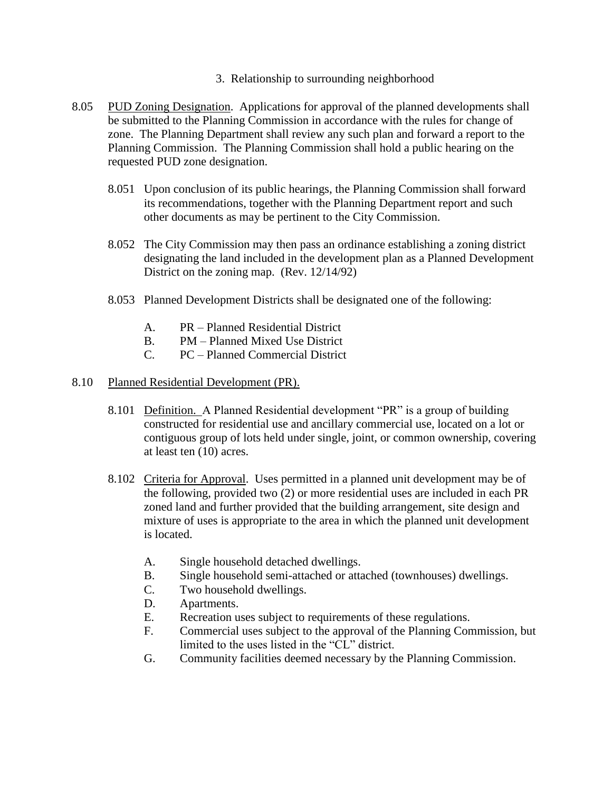- 3. Relationship to surrounding neighborhood
- 8.05 PUD Zoning Designation. Applications for approval of the planned developments shall be submitted to the Planning Commission in accordance with the rules for change of zone. The Planning Department shall review any such plan and forward a report to the Planning Commission. The Planning Commission shall hold a public hearing on the requested PUD zone designation.
	- 8.051 Upon conclusion of its public hearings, the Planning Commission shall forward its recommendations, together with the Planning Department report and such other documents as may be pertinent to the City Commission.
	- 8.052 The City Commission may then pass an ordinance establishing a zoning district designating the land included in the development plan as a Planned Development District on the zoning map. (Rev. 12/14/92)
	- 8.053 Planned Development Districts shall be designated one of the following:
		- A. PR Planned Residential District
		- B. PM Planned Mixed Use District
		- C. PC Planned Commercial District

#### 8.10 Planned Residential Development (PR).

- 8.101 Definition. A Planned Residential development "PR" is a group of building constructed for residential use and ancillary commercial use, located on a lot or contiguous group of lots held under single, joint, or common ownership, covering at least ten (10) acres.
- 8.102 Criteria for Approval. Uses permitted in a planned unit development may be of the following, provided two (2) or more residential uses are included in each PR zoned land and further provided that the building arrangement, site design and mixture of uses is appropriate to the area in which the planned unit development is located.
	- A. Single household detached dwellings.
	- B. Single household semi-attached or attached (townhouses) dwellings.
	- C. Two household dwellings.
	- D. Apartments.
	- E. Recreation uses subject to requirements of these regulations.
	- F. Commercial uses subject to the approval of the Planning Commission, but limited to the uses listed in the "CL" district.
	- G. Community facilities deemed necessary by the Planning Commission.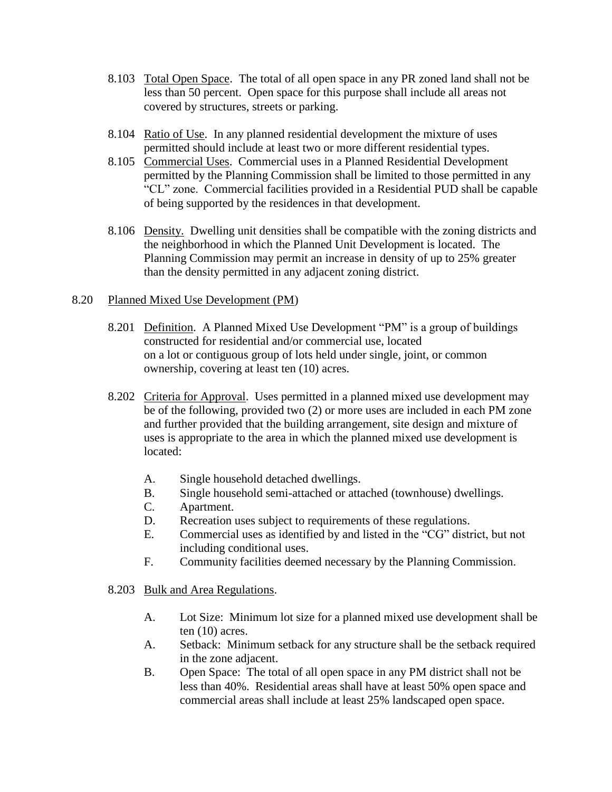- 8.103 Total Open Space. The total of all open space in any PR zoned land shall not be less than 50 percent. Open space for this purpose shall include all areas not covered by structures, streets or parking.
- 8.104 Ratio of Use. In any planned residential development the mixture of uses permitted should include at least two or more different residential types.
- 8.105 Commercial Uses. Commercial uses in a Planned Residential Development permitted by the Planning Commission shall be limited to those permitted in any "CL" zone. Commercial facilities provided in a Residential PUD shall be capable of being supported by the residences in that development.
- 8.106 Density. Dwelling unit densities shall be compatible with the zoning districts and the neighborhood in which the Planned Unit Development is located. The Planning Commission may permit an increase in density of up to 25% greater than the density permitted in any adjacent zoning district.

## 8.20 Planned Mixed Use Development (PM)

- 8.201 Definition. A Planned Mixed Use Development "PM" is a group of buildings constructed for residential and/or commercial use, located on a lot or contiguous group of lots held under single, joint, or common ownership, covering at least ten (10) acres.
- 8.202 Criteria for Approval. Uses permitted in a planned mixed use development may be of the following, provided two (2) or more uses are included in each PM zone and further provided that the building arrangement, site design and mixture of uses is appropriate to the area in which the planned mixed use development is located:
	- A. Single household detached dwellings.
	- B. Single household semi-attached or attached (townhouse) dwellings.
	- C. Apartment.
	- D. Recreation uses subject to requirements of these regulations.
	- E. Commercial uses as identified by and listed in the "CG" district, but not including conditional uses.
	- F. Community facilities deemed necessary by the Planning Commission.
- 8.203 Bulk and Area Regulations.
	- A. Lot Size: Minimum lot size for a planned mixed use development shall be ten (10) acres.
	- A. Setback: Minimum setback for any structure shall be the setback required in the zone adjacent.
	- B. Open Space: The total of all open space in any PM district shall not be less than 40%. Residential areas shall have at least 50% open space and commercial areas shall include at least 25% landscaped open space.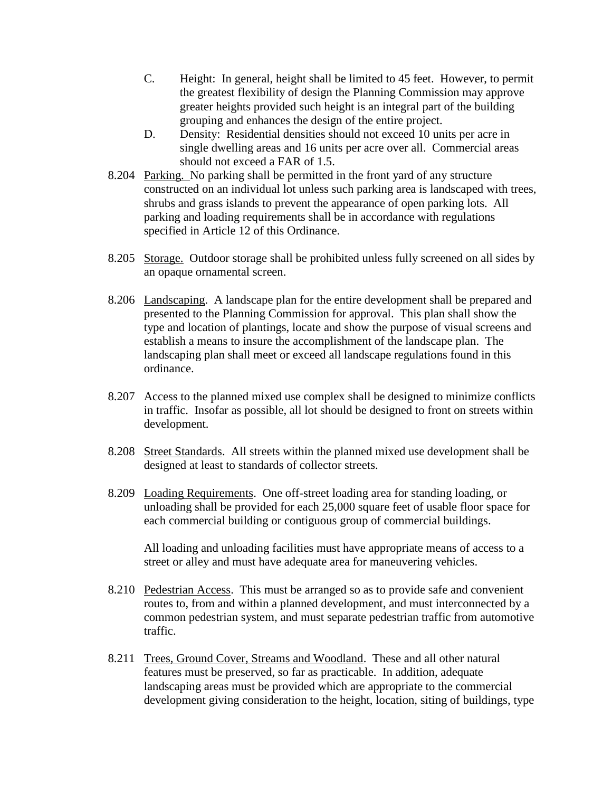- C. Height: In general, height shall be limited to 45 feet. However, to permit the greatest flexibility of design the Planning Commission may approve greater heights provided such height is an integral part of the building grouping and enhances the design of the entire project.
- D. Density: Residential densities should not exceed 10 units per acre in single dwelling areas and 16 units per acre over all. Commercial areas should not exceed a FAR of 1.5.
- 8.204 Parking. No parking shall be permitted in the front yard of any structure constructed on an individual lot unless such parking area is landscaped with trees, shrubs and grass islands to prevent the appearance of open parking lots. All parking and loading requirements shall be in accordance with regulations specified in Article 12 of this Ordinance.
- 8.205 Storage. Outdoor storage shall be prohibited unless fully screened on all sides by an opaque ornamental screen.
- 8.206 Landscaping. A landscape plan for the entire development shall be prepared and presented to the Planning Commission for approval. This plan shall show the type and location of plantings, locate and show the purpose of visual screens and establish a means to insure the accomplishment of the landscape plan. The landscaping plan shall meet or exceed all landscape regulations found in this ordinance.
- 8.207 Access to the planned mixed use complex shall be designed to minimize conflicts in traffic. Insofar as possible, all lot should be designed to front on streets within development.
- 8.208 Street Standards. All streets within the planned mixed use development shall be designed at least to standards of collector streets.
- 8.209 Loading Requirements. One off-street loading area for standing loading, or unloading shall be provided for each 25,000 square feet of usable floor space for each commercial building or contiguous group of commercial buildings.

All loading and unloading facilities must have appropriate means of access to a street or alley and must have adequate area for maneuvering vehicles.

- 8.210 Pedestrian Access. This must be arranged so as to provide safe and convenient routes to, from and within a planned development, and must interconnected by a common pedestrian system, and must separate pedestrian traffic from automotive traffic.
- 8.211 Trees, Ground Cover, Streams and Woodland. These and all other natural features must be preserved, so far as practicable. In addition, adequate landscaping areas must be provided which are appropriate to the commercial development giving consideration to the height, location, siting of buildings, type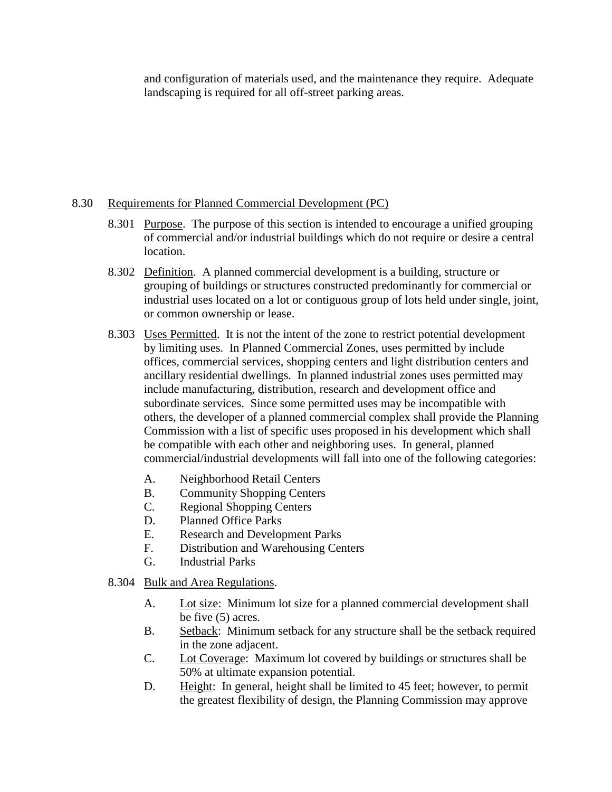and configuration of materials used, and the maintenance they require. Adequate landscaping is required for all off-street parking areas.

## 8.30 Requirements for Planned Commercial Development (PC)

- 8.301 Purpose. The purpose of this section is intended to encourage a unified grouping of commercial and/or industrial buildings which do not require or desire a central location.
- 8.302 Definition. A planned commercial development is a building, structure or grouping of buildings or structures constructed predominantly for commercial or industrial uses located on a lot or contiguous group of lots held under single, joint, or common ownership or lease.
- 8.303 Uses Permitted. It is not the intent of the zone to restrict potential development by limiting uses. In Planned Commercial Zones, uses permitted by include offices, commercial services, shopping centers and light distribution centers and ancillary residential dwellings. In planned industrial zones uses permitted may include manufacturing, distribution, research and development office and subordinate services. Since some permitted uses may be incompatible with others, the developer of a planned commercial complex shall provide the Planning Commission with a list of specific uses proposed in his development which shall be compatible with each other and neighboring uses. In general, planned commercial/industrial developments will fall into one of the following categories:
	- A. Neighborhood Retail Centers
	- B. Community Shopping Centers
	- C. Regional Shopping Centers
	- D. Planned Office Parks
	- E. Research and Development Parks
	- F. Distribution and Warehousing Centers
	- G. Industrial Parks
- 8.304 Bulk and Area Regulations.
	- A. Lot size: Minimum lot size for a planned commercial development shall be five (5) acres.
	- B. Setback: Minimum setback for any structure shall be the setback required in the zone adjacent.
	- C. Lot Coverage: Maximum lot covered by buildings or structures shall be 50% at ultimate expansion potential.
	- D. Height: In general, height shall be limited to 45 feet; however, to permit the greatest flexibility of design, the Planning Commission may approve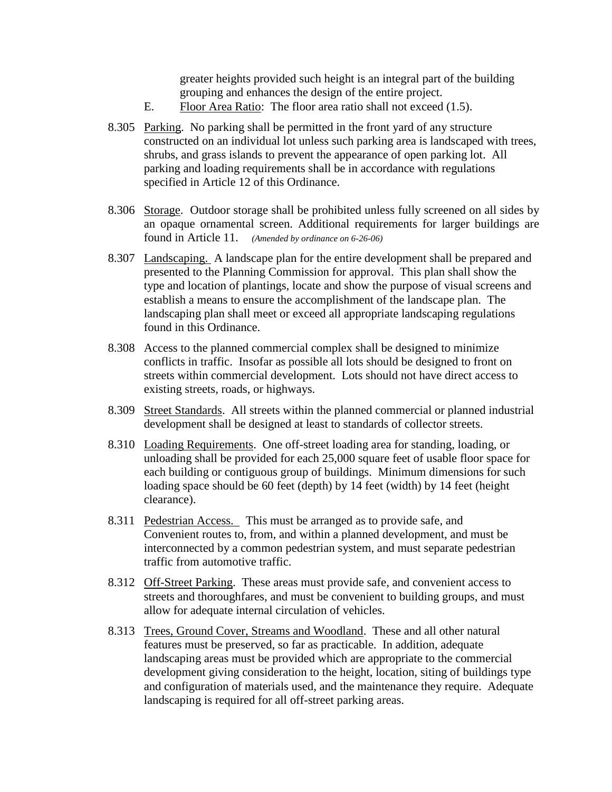greater heights provided such height is an integral part of the building grouping and enhances the design of the entire project.

- E. Floor Area Ratio: The floor area ratio shall not exceed (1.5).
- 8.305 Parking. No parking shall be permitted in the front yard of any structure constructed on an individual lot unless such parking area is landscaped with trees, shrubs, and grass islands to prevent the appearance of open parking lot. All parking and loading requirements shall be in accordance with regulations specified in Article 12 of this Ordinance.
- 8.306 Storage. Outdoor storage shall be prohibited unless fully screened on all sides by an opaque ornamental screen. Additional requirements for larger buildings are found in Article 11. *(Amended by ordinance on 6-26-06)*
- 8.307 Landscaping. A landscape plan for the entire development shall be prepared and presented to the Planning Commission for approval. This plan shall show the type and location of plantings, locate and show the purpose of visual screens and establish a means to ensure the accomplishment of the landscape plan. The landscaping plan shall meet or exceed all appropriate landscaping regulations found in this Ordinance.
- 8.308 Access to the planned commercial complex shall be designed to minimize conflicts in traffic. Insofar as possible all lots should be designed to front on streets within commercial development. Lots should not have direct access to existing streets, roads, or highways.
- 8.309 Street Standards. All streets within the planned commercial or planned industrial development shall be designed at least to standards of collector streets.
- 8.310 Loading Requirements. One off-street loading area for standing, loading, or unloading shall be provided for each 25,000 square feet of usable floor space for each building or contiguous group of buildings. Minimum dimensions for such loading space should be 60 feet (depth) by 14 feet (width) by 14 feet (height clearance).
- 8.311 Pedestrian Access. This must be arranged as to provide safe, and Convenient routes to, from, and within a planned development, and must be interconnected by a common pedestrian system, and must separate pedestrian traffic from automotive traffic.
- 8.312 Off-Street Parking. These areas must provide safe, and convenient access to streets and thoroughfares, and must be convenient to building groups, and must allow for adequate internal circulation of vehicles.
- 8.313 Trees, Ground Cover, Streams and Woodland. These and all other natural features must be preserved, so far as practicable. In addition, adequate landscaping areas must be provided which are appropriate to the commercial development giving consideration to the height, location, siting of buildings type and configuration of materials used, and the maintenance they require. Adequate landscaping is required for all off-street parking areas.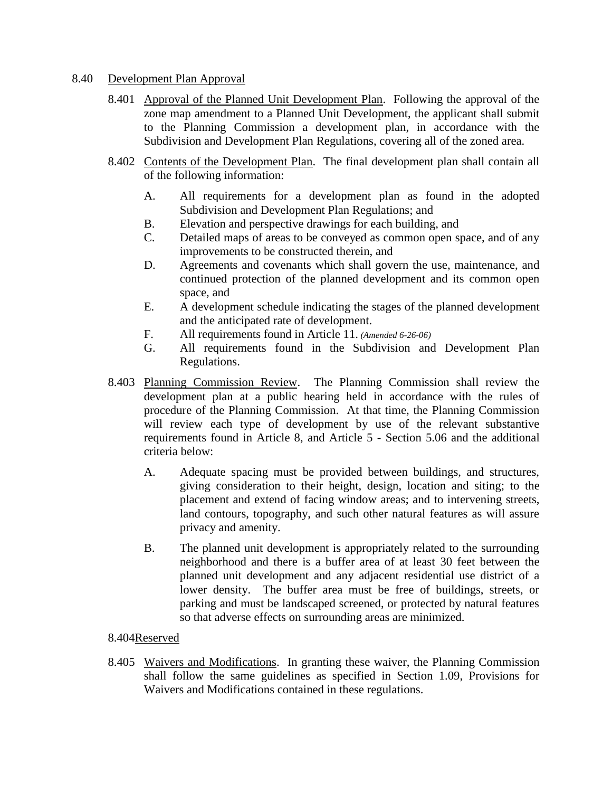## 8.40 Development Plan Approval

- 8.401 Approval of the Planned Unit Development Plan. Following the approval of the zone map amendment to a Planned Unit Development, the applicant shall submit to the Planning Commission a development plan, in accordance with the Subdivision and Development Plan Regulations, covering all of the zoned area.
- 8.402 Contents of the Development Plan. The final development plan shall contain all of the following information:
	- A. All requirements for a development plan as found in the adopted Subdivision and Development Plan Regulations; and
	- B. Elevation and perspective drawings for each building, and
	- C. Detailed maps of areas to be conveyed as common open space, and of any improvements to be constructed therein, and
	- D. Agreements and covenants which shall govern the use, maintenance, and continued protection of the planned development and its common open space, and
	- E. A development schedule indicating the stages of the planned development and the anticipated rate of development.
	- F. All requirements found in Article 11. *(Amended 6-26-06)*
	- G. All requirements found in the Subdivision and Development Plan Regulations.
- 8.403 Planning Commission Review. The Planning Commission shall review the development plan at a public hearing held in accordance with the rules of procedure of the Planning Commission. At that time, the Planning Commission will review each type of development by use of the relevant substantive requirements found in Article 8, and Article 5 - Section 5.06 and the additional criteria below:
	- A. Adequate spacing must be provided between buildings, and structures, giving consideration to their height, design, location and siting; to the placement and extend of facing window areas; and to intervening streets, land contours, topography, and such other natural features as will assure privacy and amenity.
	- B. The planned unit development is appropriately related to the surrounding neighborhood and there is a buffer area of at least 30 feet between the planned unit development and any adjacent residential use district of a lower density. The buffer area must be free of buildings, streets, or parking and must be landscaped screened, or protected by natural features so that adverse effects on surrounding areas are minimized.

#### 8.404Reserved

8.405 Waivers and Modifications. In granting these waiver, the Planning Commission shall follow the same guidelines as specified in Section 1.09, Provisions for Waivers and Modifications contained in these regulations.